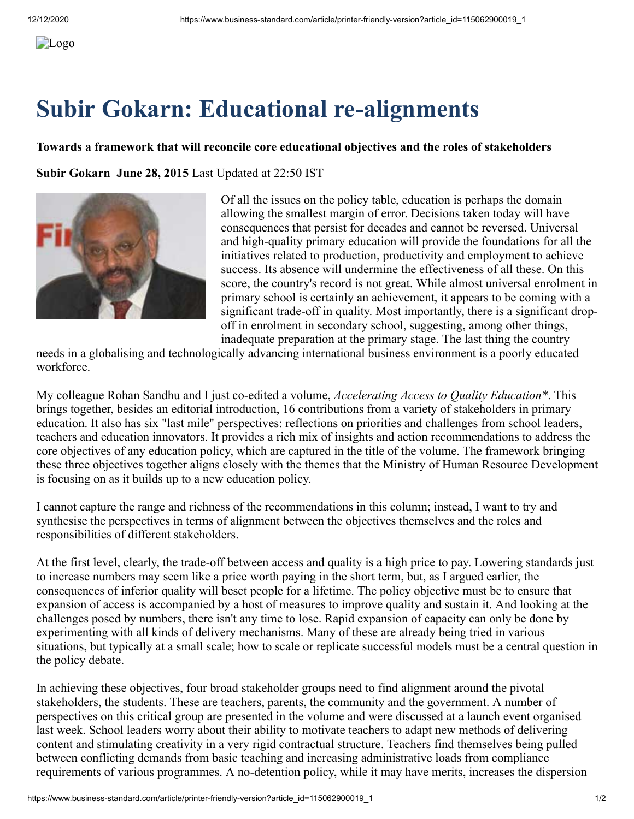## **Subir Gokarn: Educational re-alignments**

## **Towards a framework that will reconcile core educational objectives and the roles of stakeholders**

**Subir Gokarn June 28, 2015** Last Updated at 22:50 IST



Of all the issues on the policy table, education is perhaps the domain allowing the smallest margin of error. Decisions taken today will have consequences that persist for decades and cannot be reversed. Universal and high-quality primary education will provide the foundations for all the initiatives related to production, productivity and employment to achieve success. Its absence will undermine the effectiveness of all these. On this score, the country's record is not great. While almost universal enrolment in primary school is certainly an achievement, it appears to be coming with a significant trade-off in quality. Most importantly, there is a significant dropoff in enrolment in secondary school, suggesting, among other things, inadequate preparation at the primary stage. The last thing the country

needs in a globalising and technologically advancing international business environment is a poorly educated workforce.

My colleague Rohan Sandhu and I just co-edited a volume, *Accelerating Access to Quality Education\**. This brings together, besides an editorial introduction, 16 contributions from a variety of stakeholders in primary education. It also has six "last mile" perspectives: reflections on priorities and challenges from school leaders, teachers and education innovators. It provides a rich mix of insights and action recommendations to address the core objectives of any education policy, which are captured in the title of the volume. The framework bringing these three objectives together aligns closely with the themes that the Ministry of Human Resource Development is focusing on as it builds up to a new education policy.

I cannot capture the range and richness of the recommendations in this column; instead, I want to try and synthesise the perspectives in terms of alignment between the objectives themselves and the roles and responsibilities of different stakeholders.

At the first level, clearly, the trade-off between access and quality is a high price to pay. Lowering standards just to increase numbers may seem like a price worth paying in the short term, but, as I argued earlier, the consequences of inferior quality will beset people for a lifetime. The policy objective must be to ensure that expansion of access is accompanied by a host of measures to improve quality and sustain it. And looking at the challenges posed by numbers, there isn't any time to lose. Rapid expansion of capacity can only be done by experimenting with all kinds of delivery mechanisms. Many of these are already being tried in various situations, but typically at a small scale; how to scale or replicate successful models must be a central question in the policy debate.

In achieving these objectives, four broad stakeholder groups need to find alignment around the pivotal stakeholders, the students. These are teachers, parents, the community and the government. A number of perspectives on this critical group are presented in the volume and were discussed at a launch event organised last week. School leaders worry about their ability to motivate teachers to adapt new methods of delivering content and stimulating creativity in a very rigid contractual structure. Teachers find themselves being pulled between conflicting demands from basic teaching and increasing administrative loads from compliance requirements of various programmes. A no-detention policy, while it may have merits, increases the dispersion